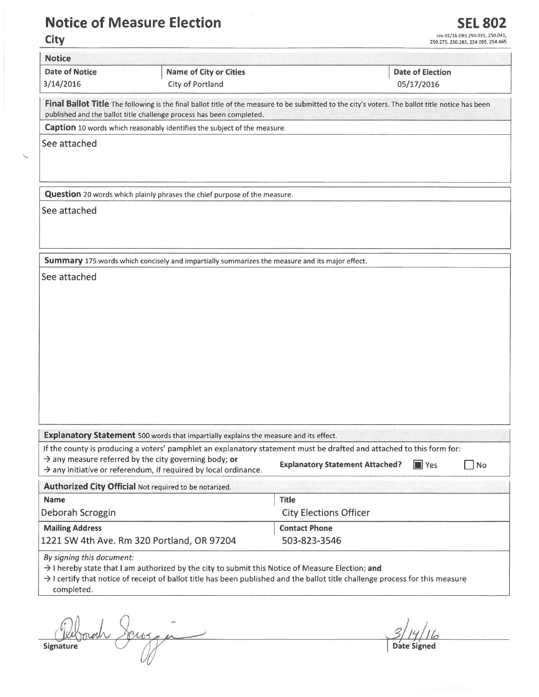## Notice of Measure Flection

Ù

been

.<br>50.035, 250.041,<br>254.095, 254.465

| <b>Date of Notice</b>                                     | <b>Name of City or Cities</b>                                                                                                                                                                                            |                                        | <b>Date of Election</b>  |
|-----------------------------------------------------------|--------------------------------------------------------------------------------------------------------------------------------------------------------------------------------------------------------------------------|----------------------------------------|--------------------------|
| 3/14/2016                                                 | City of Portland                                                                                                                                                                                                         |                                        | 05/17/2016               |
|                                                           | Final Ballot Title The following is the final ballot title of the measure to be submitted to the city's voters. The ballot title notice has been<br>published and the ballot title challenge process has been completed. |                                        |                          |
|                                                           | Caption 10 words which reasonably identifies the subject of the measure.                                                                                                                                                 |                                        |                          |
| See attached                                              |                                                                                                                                                                                                                          |                                        |                          |
|                                                           | Question 20 words which plainly phrases the chief purpose of the measure.                                                                                                                                                |                                        |                          |
| See attached                                              |                                                                                                                                                                                                                          |                                        |                          |
|                                                           |                                                                                                                                                                                                                          |                                        |                          |
|                                                           | Summary 175 words which concisely and impartially summarizes the measure and its major effect.                                                                                                                           |                                        |                          |
| See attached                                              |                                                                                                                                                                                                                          |                                        |                          |
|                                                           |                                                                                                                                                                                                                          |                                        |                          |
|                                                           |                                                                                                                                                                                                                          |                                        |                          |
|                                                           |                                                                                                                                                                                                                          |                                        |                          |
|                                                           |                                                                                                                                                                                                                          |                                        |                          |
|                                                           |                                                                                                                                                                                                                          |                                        |                          |
|                                                           |                                                                                                                                                                                                                          |                                        |                          |
|                                                           |                                                                                                                                                                                                                          |                                        |                          |
|                                                           |                                                                                                                                                                                                                          |                                        |                          |
|                                                           |                                                                                                                                                                                                                          |                                        |                          |
|                                                           |                                                                                                                                                                                                                          |                                        |                          |
|                                                           |                                                                                                                                                                                                                          |                                        |                          |
|                                                           |                                                                                                                                                                                                                          |                                        |                          |
|                                                           | Explanatory Statement 500 words that impartially explains the measure and its effect.<br>If the county is producing a voters' pamphlet an explanatory statement must be drafted and attached to this form for:           |                                        |                          |
|                                                           | $\rightarrow$ any measure referred by the city governing body; or<br>$\rightarrow$ any initiative or referendum, if required by local ordinance.                                                                         | <b>Explanatory Statement Attached?</b> | $\blacksquare$ Yes<br>No |
|                                                           | Authorized City Official Not required to be notarized.                                                                                                                                                                   |                                        |                          |
|                                                           |                                                                                                                                                                                                                          | <b>Title</b>                           |                          |
|                                                           |                                                                                                                                                                                                                          | <b>City Elections Officer</b>          |                          |
| <b>Name</b><br>Deborah Scroggin<br><b>Mailing Address</b> | 1221 SW 4th Ave. Rm 320 Portland, OR 97204                                                                                                                                                                               | <b>Contact Phone</b><br>503-823-3546   |                          |

Date Signed

◡ Signature

∀